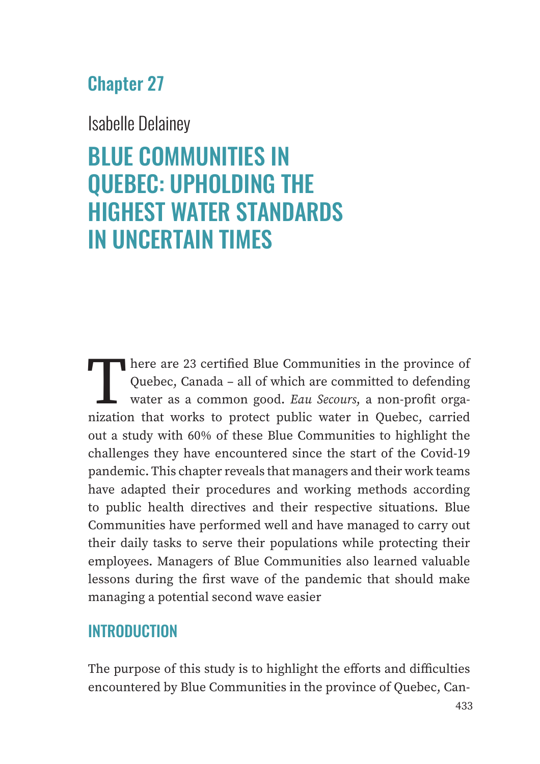# Chapter 27

Isabelle Delainey

# BLUE COMMUNITIES IN QUEBEC: UPHOLDING THE HIGHEST WATER STANDARDS IN UNCERTAIN TIMES

There are 23 certified Blue Communities in the province of Quebec, Canada – all of which are committed to defending water as a common good. *Eau Secours*, a non-profit organization that works to protect public water in Quebec, carried out a study with 60% of these Blue Communities to highlight the challenges they have encountered since the start of the Covid-19 pandemic. This chapter reveals that managers and their work teams have adapted their procedures and working methods according to public health directives and their respective situations. Blue Communities have performed well and have managed to carry out their daily tasks to serve their populations while protecting their employees. Managers of Blue Communities also learned valuable lessons during the first wave of the pandemic that should make managing a potential second wave easier

# **INTRODUCTION**

The purpose of this study is to highlight the efforts and difficulties encountered by Blue Communities in the province of Quebec, Can-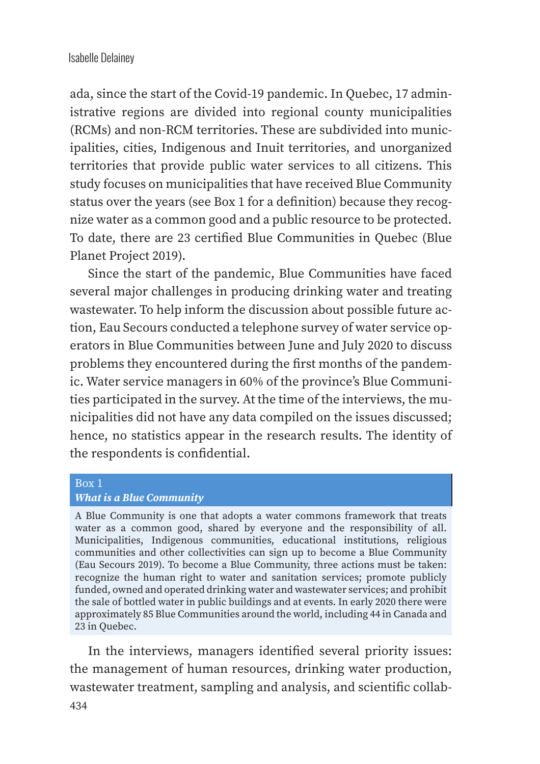ada, since the start of the Covid-19 pandemic. In Quebec, 17 administrative regions are divided into regional county municipalities (RCMs) and non-RCM territories. These are subdivided into municipalities, cities, Indigenous and Inuit territories, and unorganized territories that provide public water services to all citizens. This study focuses on municipalities that have received Blue Community status over the years (see Box 1 for a definition) because they recognize water as a common good and a public resource to be protected. To date, there are 23 certified Blue Communities in Quebec (Blue Planet Project 2019).

Since the start of the pandemic, Blue Communities have faced several major challenges in producing drinking water and treating wastewater. To help inform the discussion about possible future action, Eau Secours conducted a telephone survey of water service operators in Blue Communities between June and July 2020 to discuss problems they encountered during the first months of the pandemic. Water service managers in 60% of the province's Blue Communities participated in the survey. At the time of the interviews, the municipalities did not have any data compiled on the issues discussed; hence, no statistics appear in the research results. The identity of the respondents is confidential.

#### Box 1 *What is a Blue Community*

A Blue Community is one that adopts a water commons framework that treats water as a common good, shared by everyone and the responsibility of all. Municipalities, Indigenous communities, educational institutions, religious communities and other collectivities can sign up to become a Blue Community (Eau Secours 2019). To become a Blue Community, three actions must be taken: recognize the human right to water and sanitation services; promote publicly funded, owned and operated drinking water and wastewater services; and prohibit the sale of bottled water in public buildings and at events. In early 2020 there were approximately 85 Blue Communities around the world, including 44 in Canada and 23 in Quebec.

In the interviews, managers identified several priority issues: the management of human resources, drinking water production, wastewater treatment, sampling and analysis, and scientific collab-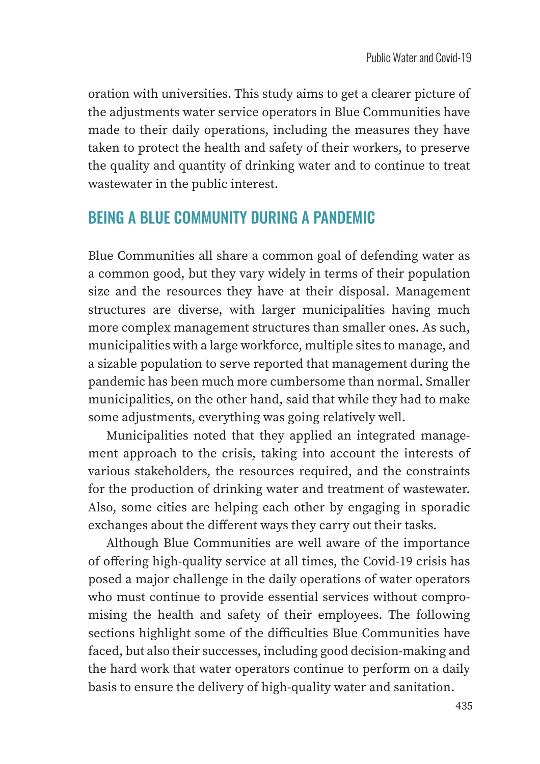oration with universities. This study aims to get a clearer picture of the adjustments water service operators in Blue Communities have made to their daily operations, including the measures they have taken to protect the health and safety of their workers, to preserve the quality and quantity of drinking water and to continue to treat wastewater in the public interest.

# BEING A BLUE COMMUNITY DURING A PANDEMIC

Blue Communities all share a common goal of defending water as a common good, but they vary widely in terms of their population size and the resources they have at their disposal. Management structures are diverse, with larger municipalities having much more complex management structures than smaller ones. As such, municipalities with a large workforce, multiple sites to manage, and a sizable population to serve reported that management during the pandemic has been much more cumbersome than normal. Smaller municipalities, on the other hand, said that while they had to make some adjustments, everything was going relatively well.

Municipalities noted that they applied an integrated management approach to the crisis, taking into account the interests of various stakeholders, the resources required, and the constraints for the production of drinking water and treatment of wastewater. Also, some cities are helping each other by engaging in sporadic exchanges about the different ways they carry out their tasks.

Although Blue Communities are well aware of the importance of offering high-quality service at all times, the Covid-19 crisis has posed a major challenge in the daily operations of water operators who must continue to provide essential services without compromising the health and safety of their employees. The following sections highlight some of the difficulties Blue Communities have faced, but also their successes, including good decision-making and the hard work that water operators continue to perform on a daily basis to ensure the delivery of high-quality water and sanitation.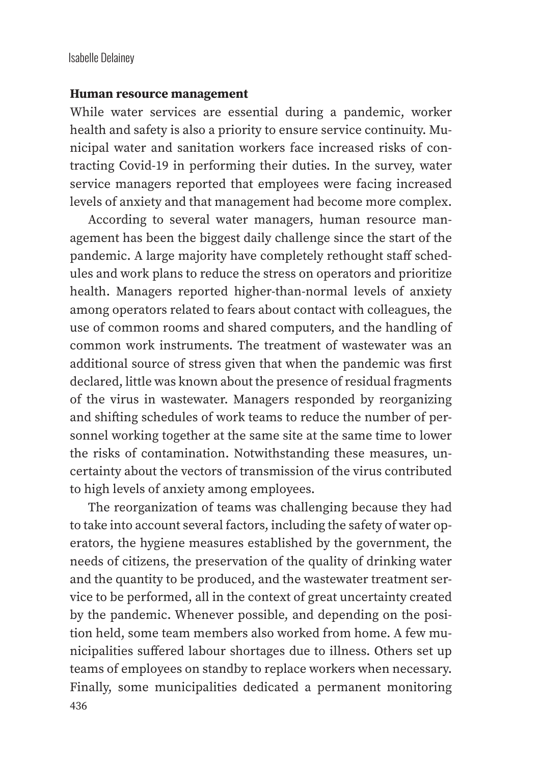### **Human resource management**

While water services are essential during a pandemic, worker health and safety is also a priority to ensure service continuity. Municipal water and sanitation workers face increased risks of contracting Covid-19 in performing their duties. In the survey, water service managers reported that employees were facing increased levels of anxiety and that management had become more complex.

According to several water managers, human resource management has been the biggest daily challenge since the start of the pandemic. A large majority have completely rethought staff schedules and work plans to reduce the stress on operators and prioritize health. Managers reported higher-than-normal levels of anxiety among operators related to fears about contact with colleagues, the use of common rooms and shared computers, and the handling of common work instruments. The treatment of wastewater was an additional source of stress given that when the pandemic was first declared, little was known about the presence of residual fragments of the virus in wastewater. Managers responded by reorganizing and shifting schedules of work teams to reduce the number of personnel working together at the same site at the same time to lower the risks of contamination. Notwithstanding these measures, uncertainty about the vectors of transmission of the virus contributed to high levels of anxiety among employees.

436 The reorganization of teams was challenging because they had to take into account several factors, including the safety of water operators, the hygiene measures established by the government, the needs of citizens, the preservation of the quality of drinking water and the quantity to be produced, and the wastewater treatment service to be performed, all in the context of great uncertainty created by the pandemic. Whenever possible, and depending on the position held, some team members also worked from home. A few municipalities suffered labour shortages due to illness. Others set up teams of employees on standby to replace workers when necessary. Finally, some municipalities dedicated a permanent monitoring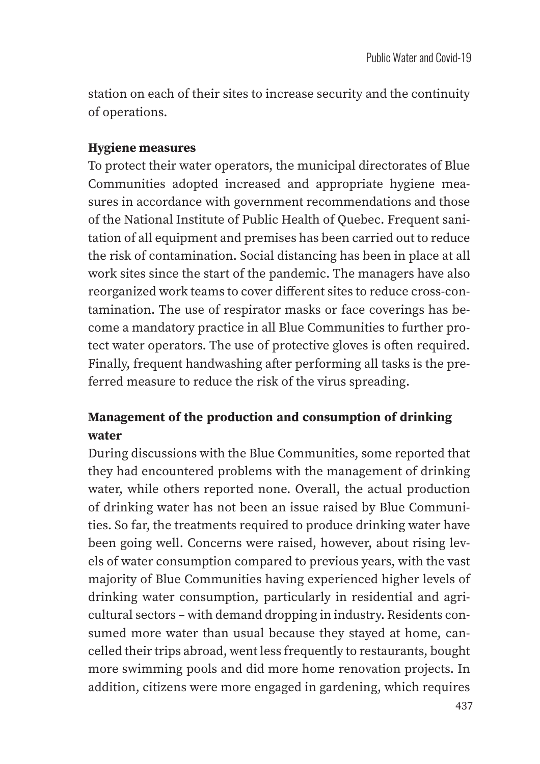station on each of their sites to increase security and the continuity of operations.

## **Hygiene measures**

To protect their water operators, the municipal directorates of Blue Communities adopted increased and appropriate hygiene measures in accordance with government recommendations and those of the National Institute of Public Health of Quebec. Frequent sanitation of all equipment and premises has been carried out to reduce the risk of contamination. Social distancing has been in place at all work sites since the start of the pandemic. The managers have also reorganized work teams to cover different sites to reduce cross-contamination. The use of respirator masks or face coverings has become a mandatory practice in all Blue Communities to further protect water operators. The use of protective gloves is often required. Finally, frequent handwashing after performing all tasks is the preferred measure to reduce the risk of the virus spreading.

## **Management of the production and consumption of drinking water**

During discussions with the Blue Communities, some reported that they had encountered problems with the management of drinking water, while others reported none. Overall, the actual production of drinking water has not been an issue raised by Blue Communities. So far, the treatments required to produce drinking water have been going well. Concerns were raised, however, about rising levels of water consumption compared to previous years, with the vast majority of Blue Communities having experienced higher levels of drinking water consumption, particularly in residential and agricultural sectors – with demand dropping in industry. Residents consumed more water than usual because they stayed at home, cancelled their trips abroad, went less frequently to restaurants, bought more swimming pools and did more home renovation projects. In addition, citizens were more engaged in gardening, which requires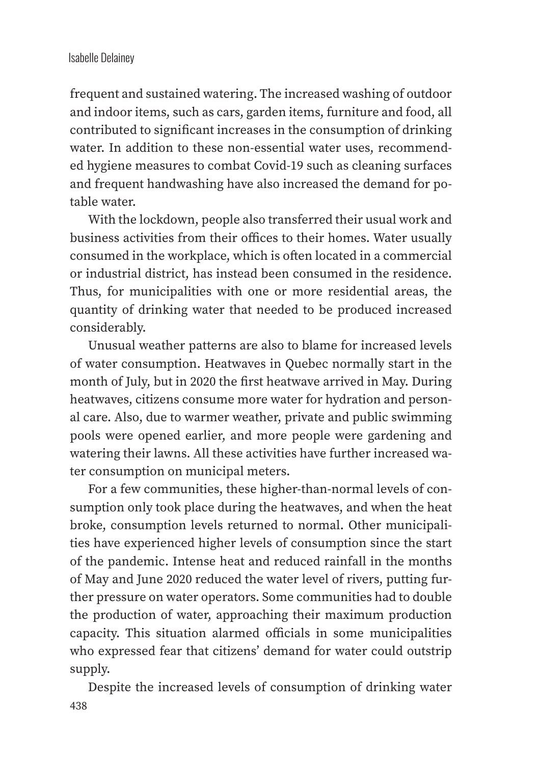## Isabelle Delainey

frequent and sustained watering. The increased washing of outdoor and indoor items, such as cars, garden items, furniture and food, all contributed to significant increases in the consumption of drinking water. In addition to these non-essential water uses, recommended hygiene measures to combat Covid-19 such as cleaning surfaces and frequent handwashing have also increased the demand for potable water.

With the lockdown, people also transferred their usual work and business activities from their offices to their homes. Water usually consumed in the workplace, which is often located in a commercial or industrial district, has instead been consumed in the residence. Thus, for municipalities with one or more residential areas, the quantity of drinking water that needed to be produced increased considerably.

Unusual weather patterns are also to blame for increased levels of water consumption. Heatwaves in Quebec normally start in the month of July, but in 2020 the first heatwave arrived in May. During heatwaves, citizens consume more water for hydration and personal care. Also, due to warmer weather, private and public swimming pools were opened earlier, and more people were gardening and watering their lawns. All these activities have further increased water consumption on municipal meters.

For a few communities, these higher-than-normal levels of consumption only took place during the heatwaves, and when the heat broke, consumption levels returned to normal. Other municipalities have experienced higher levels of consumption since the start of the pandemic. Intense heat and reduced rainfall in the months of May and June 2020 reduced the water level of rivers, putting further pressure on water operators. Some communities had to double the production of water, approaching their maximum production capacity. This situation alarmed officials in some municipalities who expressed fear that citizens' demand for water could outstrip supply.

438 Despite the increased levels of consumption of drinking water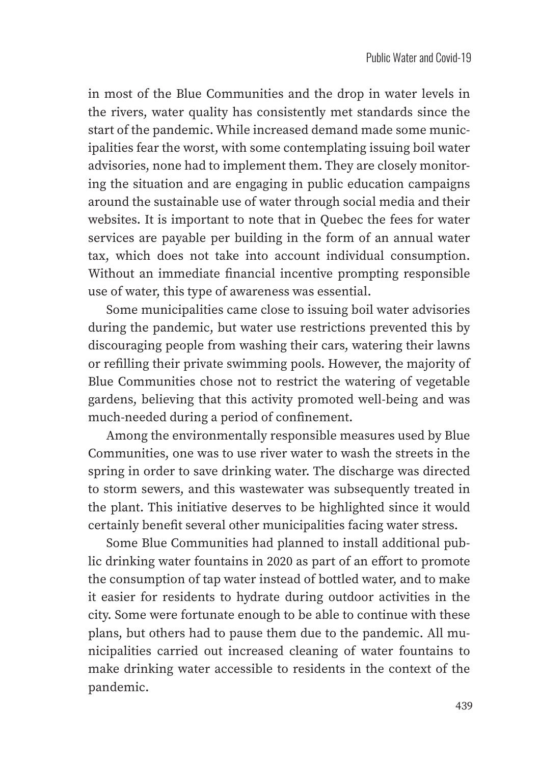in most of the Blue Communities and the drop in water levels in the rivers, water quality has consistently met standards since the start of the pandemic. While increased demand made some municipalities fear the worst, with some contemplating issuing boil water advisories, none had to implement them. They are closely monitoring the situation and are engaging in public education campaigns around the sustainable use of water through social media and their websites. It is important to note that in Quebec the fees for water services are payable per building in the form of an annual water tax, which does not take into account individual consumption. Without an immediate financial incentive prompting responsible use of water, this type of awareness was essential.

Some municipalities came close to issuing boil water advisories during the pandemic, but water use restrictions prevented this by discouraging people from washing their cars, watering their lawns or refilling their private swimming pools. However, the majority of Blue Communities chose not to restrict the watering of vegetable gardens, believing that this activity promoted well-being and was much-needed during a period of confinement.

Among the environmentally responsible measures used by Blue Communities, one was to use river water to wash the streets in the spring in order to save drinking water. The discharge was directed to storm sewers, and this wastewater was subsequently treated in the plant. This initiative deserves to be highlighted since it would certainly benefit several other municipalities facing water stress.

Some Blue Communities had planned to install additional public drinking water fountains in 2020 as part of an effort to promote the consumption of tap water instead of bottled water, and to make it easier for residents to hydrate during outdoor activities in the city. Some were fortunate enough to be able to continue with these plans, but others had to pause them due to the pandemic. All municipalities carried out increased cleaning of water fountains to make drinking water accessible to residents in the context of the pandemic.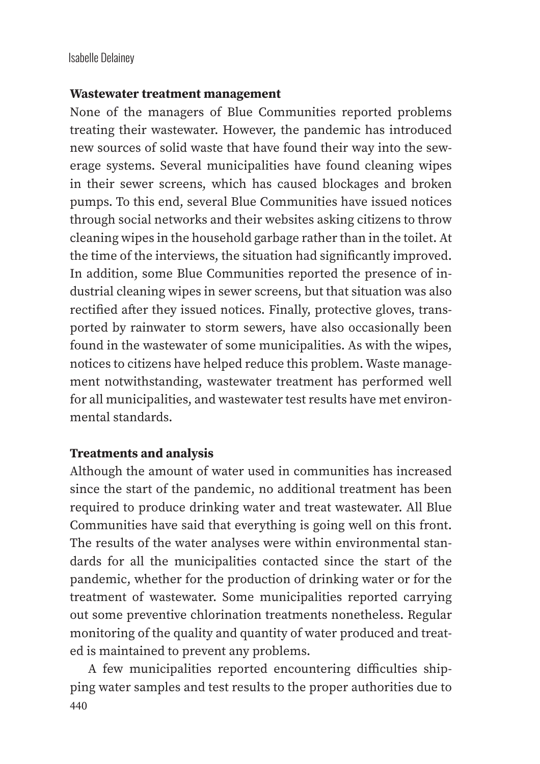## **Wastewater treatment management**

None of the managers of Blue Communities reported problems treating their wastewater. However, the pandemic has introduced new sources of solid waste that have found their way into the sewerage systems. Several municipalities have found cleaning wipes in their sewer screens, which has caused blockages and broken pumps. To this end, several Blue Communities have issued notices through social networks and their websites asking citizens to throw cleaning wipes in the household garbage rather than in the toilet. At the time of the interviews, the situation had significantly improved. In addition, some Blue Communities reported the presence of industrial cleaning wipes in sewer screens, but that situation was also rectified after they issued notices. Finally, protective gloves, transported by rainwater to storm sewers, have also occasionally been found in the wastewater of some municipalities. As with the wipes, notices to citizens have helped reduce this problem. Waste management notwithstanding, wastewater treatment has performed well for all municipalities, and wastewater test results have met environmental standards.

## **Treatments and analysis**

Although the amount of water used in communities has increased since the start of the pandemic, no additional treatment has been required to produce drinking water and treat wastewater. All Blue Communities have said that everything is going well on this front. The results of the water analyses were within environmental standards for all the municipalities contacted since the start of the pandemic, whether for the production of drinking water or for the treatment of wastewater. Some municipalities reported carrying out some preventive chlorination treatments nonetheless. Regular monitoring of the quality and quantity of water produced and treated is maintained to prevent any problems.

440 A few municipalities reported encountering difficulties shipping water samples and test results to the proper authorities due to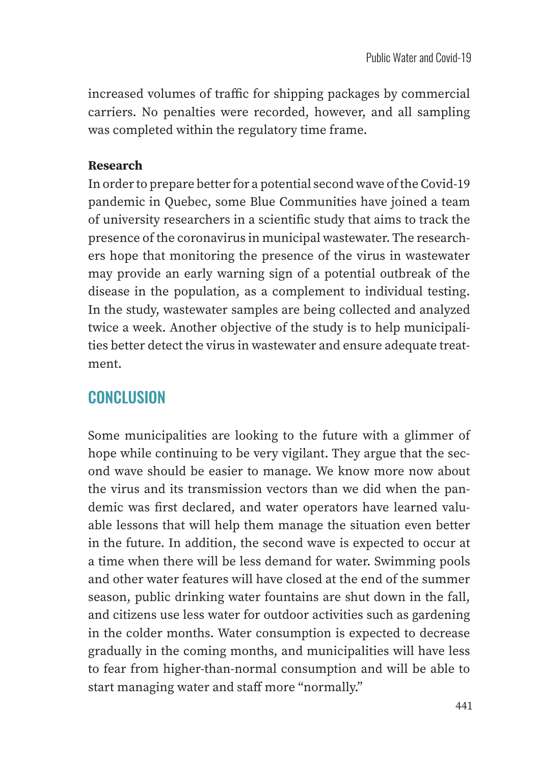increased volumes of traffic for shipping packages by commercial carriers. No penalties were recorded, however, and all sampling was completed within the regulatory time frame.

## **Research**

In order to prepare better for a potential second wave of the Covid-19 pandemic in Quebec, some Blue Communities have joined a team of university researchers in a scientific study that aims to track the presence of the coronavirus in municipal wastewater. The researchers hope that monitoring the presence of the virus in wastewater may provide an early warning sign of a potential outbreak of the disease in the population, as a complement to individual testing. In the study, wastewater samples are being collected and analyzed twice a week. Another objective of the study is to help municipalities better detect the virus in wastewater and ensure adequate treatment.

# **CONCLUSION**

Some municipalities are looking to the future with a glimmer of hope while continuing to be very vigilant. They argue that the second wave should be easier to manage. We know more now about the virus and its transmission vectors than we did when the pandemic was first declared, and water operators have learned valuable lessons that will help them manage the situation even better in the future. In addition, the second wave is expected to occur at a time when there will be less demand for water. Swimming pools and other water features will have closed at the end of the summer season, public drinking water fountains are shut down in the fall, and citizens use less water for outdoor activities such as gardening in the colder months. Water consumption is expected to decrease gradually in the coming months, and municipalities will have less to fear from higher-than-normal consumption and will be able to start managing water and staff more "normally."